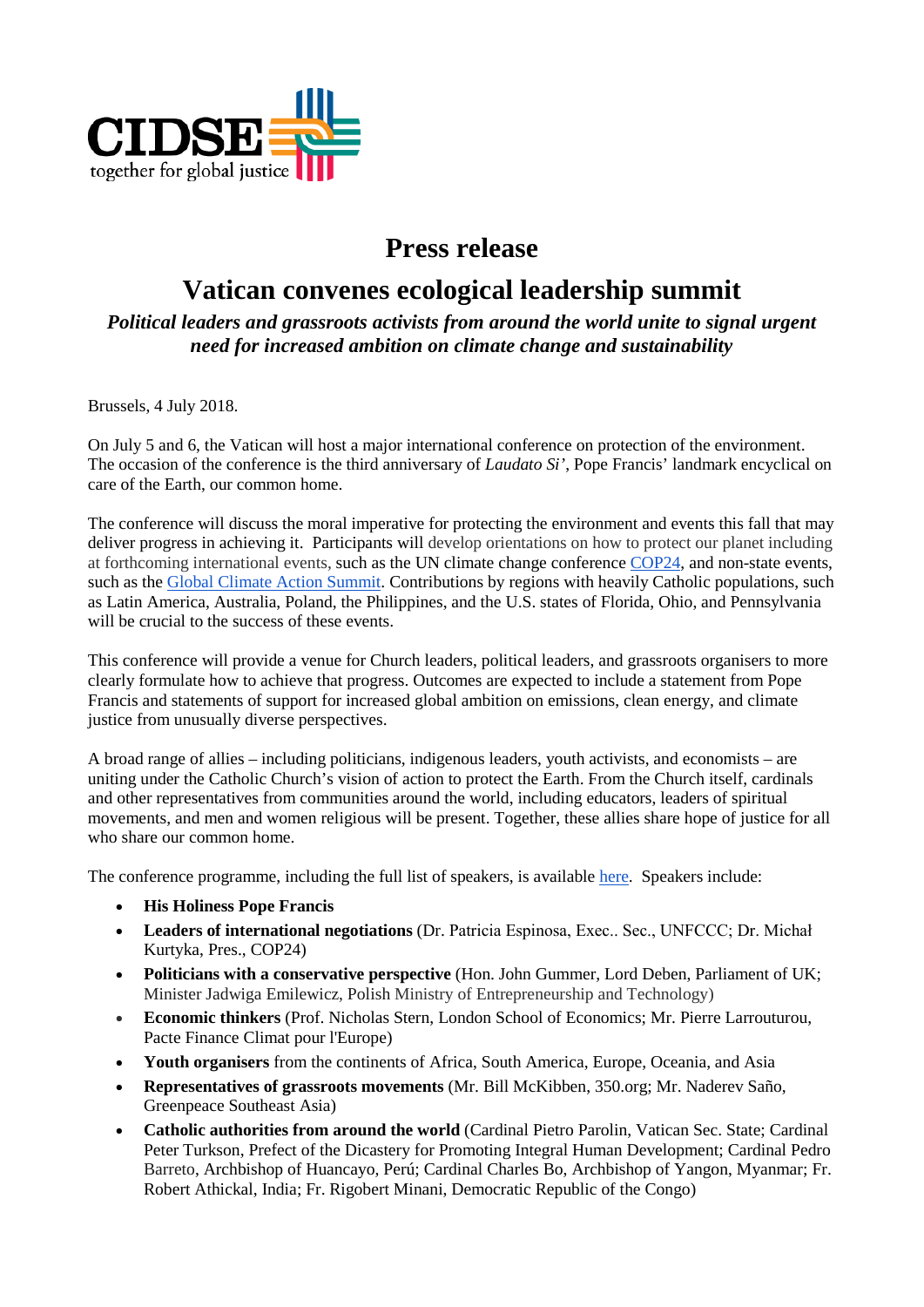

## **Press release**

## **Vatican convenes ecological leadership summit**

*Political leaders and grassroots activists from around the world unite to signal urgent need for increased ambition on climate change and sustainability*

Brussels, 4 July 2018.

On July 5 and 6, the Vatican will host a major international conference on protection of the environment. The occasion of the conference is the third anniversary of *Laudato Si'*, Pope Francis' landmark encyclical on care of the Earth, our common home.

The conference will discuss the moral imperative for protecting the environment and events this fall that may deliver progress in achieving it. Participants will develop orientations on how to protect our planet including at forthcoming international events, such as the UN climate change conference [COP24,](http://cop24.gov.pl/) and non-state events, such as the [Global Climate Action Summit.](https://globalclimateactionsummit.org/) Contributions by regions with heavily Catholic populations, such as Latin America, Australia, Poland, the Philippines, and the U.S. states of Florida, Ohio, and Pennsylvania will be crucial to the success of these events.

This conference will provide a venue for Church leaders, political leaders, and grassroots organisers to more clearly formulate how to achieve that progress. Outcomes are expected to include a statement from Pope Francis and statements of support for increased global ambition on emissions, clean energy, and climate justice from unusually diverse perspectives.

A broad range of allies – including politicians, indigenous leaders, youth activists, and economists – are uniting under the Catholic Church's vision of action to protect the Earth. From the Church itself, cardinals and other representatives from communities around the world, including educators, leaders of spiritual movements, and men and women religious will be present. Together, these allies share hope of justice for all who share our common home.

The conference programme, including the full list of speakers, is available [here.](https://drive.google.com/file/d/0B5ALII8RwGgqdjVhVmlGcTFCdjVsQi1DRE9sdktKcWU2ZG9R/view?usp=sharing) Speakers include:

- **His Holiness Pope Francis**
- **Leaders of international negotiations** (Dr. Patricia Espinosa, Exec.. Sec., UNFCCC; Dr. Michał Kurtyka, Pres., COP24)
- **Politicians with a conservative perspective** (Hon. John Gummer, Lord Deben, Parliament of UK; Minister Jadwiga Emilewicz, Polish Ministry of Entrepreneurship and Technology)
- **Economic thinkers** (Prof. Nicholas Stern, London School of Economics; Mr. Pierre Larrouturou, Pacte Finance Climat pour l'Europe)
- **Youth organisers** from the continents of Africa, South America, Europe, Oceania, and Asia
- **Representatives of grassroots movements** (Mr. Bill McKibben, 350.org; Mr. Naderev Saño, Greenpeace Southeast Asia)
- **Catholic authorities from around the world** (Cardinal Pietro Parolin, Vatican Sec. State; Cardinal Peter Turkson, Prefect of the Dicastery for Promoting Integral Human Development; Cardinal Pedro Barreto, Archbishop of Huancayo, Perú; Cardinal Charles Bo, Archbishop of Yangon, Myanmar; Fr. Robert Athickal, India; Fr. Rigobert Minani, Democratic Republic of the Congo)